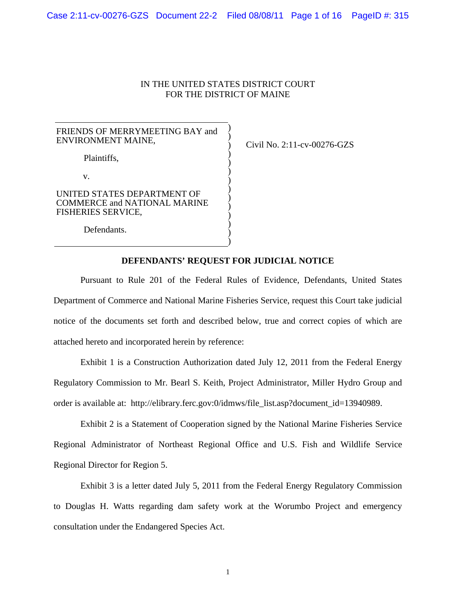# IN THE UNITED STATES DISTRICT COURT FOR THE DISTRICT OF MAINE

| FRIENDS OF MERRYMEETING BAY and<br>ENVIRONMENT MAINE,                                           |  |
|-------------------------------------------------------------------------------------------------|--|
| Plaintiffs,                                                                                     |  |
| $\mathbf{V}$                                                                                    |  |
| UNITED STATES DEPARTMENT OF<br><b>COMMERCE and NATIONAL MARINE</b><br><b>FISHERIES SERVICE,</b> |  |
| Defendants.                                                                                     |  |

Civil No. 2:11-cv-00276-GZS

### **DEFENDANTS' REQUEST FOR JUDICIAL NOTICE**

)

Pursuant to Rule 201 of the Federal Rules of Evidence, Defendants, United States Department of Commerce and National Marine Fisheries Service, request this Court take judicial notice of the documents set forth and described below, true and correct copies of which are attached hereto and incorporated herein by reference:

Exhibit 1 is a Construction Authorization dated July 12, 2011 from the Federal Energy Regulatory Commission to Mr. Bearl S. Keith, Project Administrator, Miller Hydro Group and order is available at: http://elibrary.ferc.gov:0/idmws/file\_list.asp?document\_id=13940989.

Exhibit 2 is a Statement of Cooperation signed by the National Marine Fisheries Service Regional Administrator of Northeast Regional Office and U.S. Fish and Wildlife Service Regional Director for Region 5.

Exhibit 3 is a letter dated July 5, 2011 from the Federal Energy Regulatory Commission to Douglas H. Watts regarding dam safety work at the Worumbo Project and emergency consultation under the Endangered Species Act.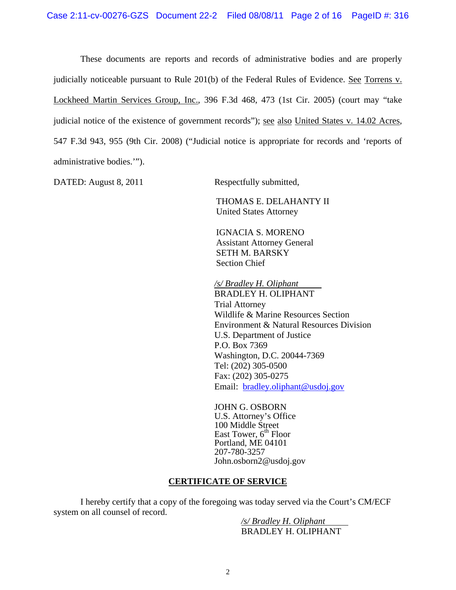These documents are reports and records of administrative bodies and are properly judicially noticeable pursuant to Rule 201(b) of the Federal Rules of Evidence. See Torrens v. Lockheed Martin Services Group, Inc., 396 F.3d 468, 473 (1st Cir. 2005) (court may "take judicial notice of the existence of government records"); see also United States v. 14.02 Acres, 547 F.3d 943, 955 (9th Cir. 2008) ("Judicial notice is appropriate for records and 'reports of administrative bodies.'").

DATED: August 8, 2011 Respectfully submitted,

THOMAS E. DELAHANTY II United States Attorney

IGNACIA S. MORENO Assistant Attorney General SETH M. BARSKY Section Chief

*/s/ Bradley H. Oliphant*  BRADLEY H. OLIPHANT Trial Attorney Wildlife & Marine Resources Section Environment & Natural Resources Division U.S. Department of Justice P.O. Box 7369 Washington, D.C. 20044-7369 Tel: (202) 305-0500 Fax: (202) 305-0275 Email: bradley.oliphant@usdoj.gov

JOHN G. OSBORN U.S. Attorney's Office 100 Middle Street East Tower,  $6<sup>th</sup>$  Floor Portland, ME 04101 207-780-3257 John.osborn2@usdoj.gov

# **CERTIFICATE OF SERVICE**

I hereby certify that a copy of the foregoing was today served via the Court's CM/ECF system on all counsel of record.

*/s/ Bradley H. Oliphant*  BRADLEY H. OLIPHANT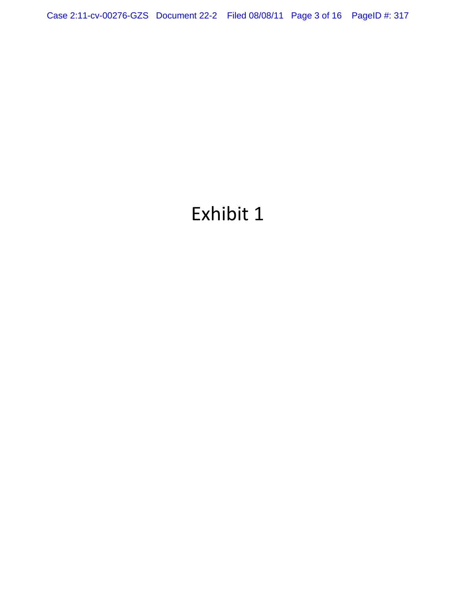Case 2:11-cv-00276-GZS Document 22-2 Filed 08/08/11 Page 3 of 16 PageID #: 317

# Exhibit 1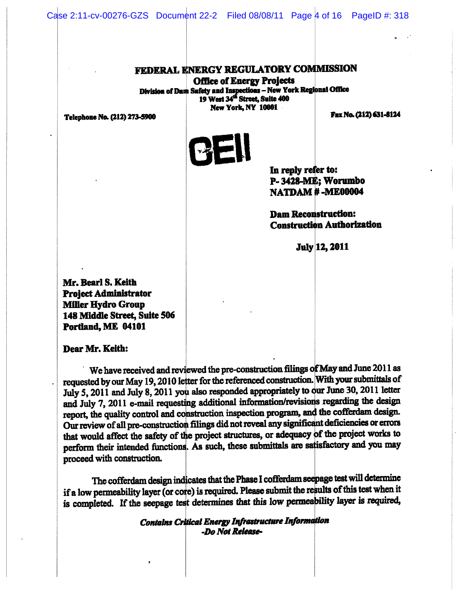Case 2:11-cv-00276-GZS Document 22-2 Filed 08/08/11 Page 4 of 16 PageID #: 318

# (EDERAL ENERGY REGULATORY C

**Office of Energy Projects** Safety and Inspections – New York 19 West 34'" Street, Suite 400 New York, NY 10001 Fax No. (212) 631-8124

Telephone No. (212) 273-5900



In reply refer to: P-3428-M Worumbo NATDAM ME00004

**Dam Reconstruction: Construction Authorization** 

**July 12, 2011** 

Mr. Bearl 3. Keith Project Administrator Miller Hydro Group 148 Middle Street, Suite 506 Portland, ME 04101

Dear Mr. Keith:

We have received and reviewed the pre-construction filings of May and June 2011 as requested by our May 19, 2010 letter for the referenced construction. With your submittals of July 5, 2011 and July 8, 2011 you also responded appropriately to our June 30, 2011 letter and July 7, 2011 e-mail requesting additional information/revisions regarding the design report, the quality control and construction inspection program, and the cofferdam design. Our review of all pre-construction filings did not reveal any significant deficiencies or errors that would affect the safety of the project structures, or adequacy of the project works to perform their intended functions. As such, these submittals are satisfactory and you may proceed with construction.

The cofferdam design indicates that the Phase I cofferdam seepage test will determine if a low permeability layer (or core) is required. Please submit the results of this test when it is completed. If the seepage test determines that this low perme

> Contains Critical Energy Infrastructure . -Do Not Release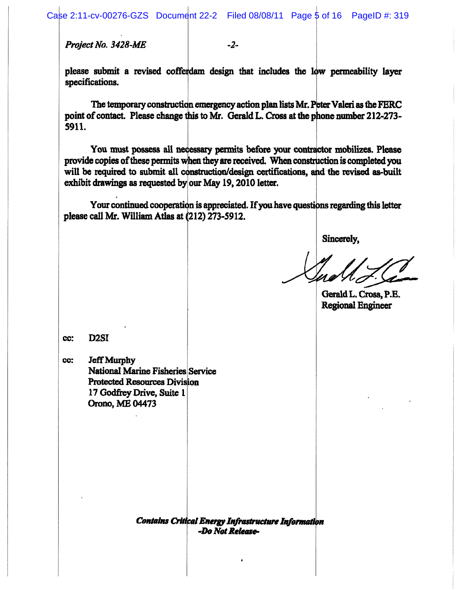Project No. 3428-ME

-2-

please submit a revised cofferdam design that includes the low permeability layer specifications.

The temporary construction emergency action plan lists Mr. Peter Valeri as the FERC point of contact. Please change this to Mr. Gerald L. Cross at the phone number 212-273-5911.

You must possess all necessary permits before your contractor mobilizes. Please provide copies of these permits when they are received. When construction is completed you will be required to submit all construction/design certifications, and the revised as-built exhibit drawings as requested by our May  $19, 2010$  letter.

Your continued cooperation is appreciated. If you have questions regarding this letter please call Mr. William Atlas at (212) 273-5912.

Sincerely,

GeraldL. Cross, P.E. Regional Engincer

cc; D2SI

cc: Jeff Murphy National Marine Fisheries Service Protected Resources Division 17 Godfrey Drive, Suite 1 Orono, ME 04473

> Contains Critical Energy Infrastructure Information -Do Not Release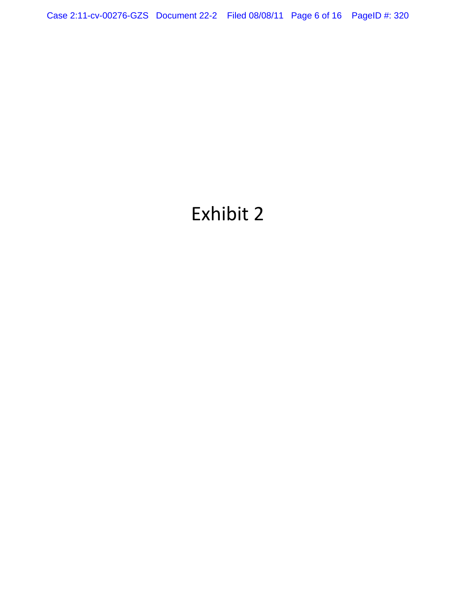Case 2:11-cv-00276-GZS Document 22-2 Filed 08/08/11 Page 6 of 16 PageID #: 320

# Exhibit 2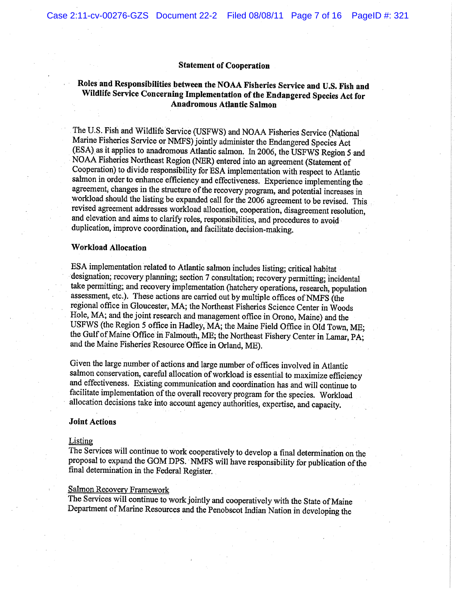#### Statement of Cooperation

# Roles and Responsibilities between the NOAA Fisheries Service and U.S. Fish and Wildlife Service Concerning Implementation of the Endangered Species Act for Anadromous Atlantic Salmon

The U.S. Fish and Wildlife Service (USFWS) and NOAA Fisheries Service (National Marine Fisheries Service or NMFS) jointly administer the Endangered Species Act (ESA).as it applies to anadromous Atlantic salmon. Tn 2006, the USFWS Region 5 and NOAH Fisheries Northeast Region (NER) entered into an agreement (Statement of Cooperation) to divide responsibility for ESA implementation with respect to Atlantic salmon in order to enhance efficiency and effectiveness. Experience implementing the agreement; changes in the structure of the recovery program, and potential increases in workload should the listing be expanded call for the 2006 agreement to be revised. This revised agreement addresses workload allocation, cooperation, disagreement resolution, and elevation and aims to clarify roles, responsibilities, and procedures to avoidduplication, improve coordination, and facilitate decision-making.

#### Workload Allocation

ESA implementation related to Atlantic salmon includes listing; critical habitat designation; recovery planning; section 7 consultation; recovery permitting; incidental take permitting; and recovery implementation (hatchery operations, research, population assessment, etc.). These actions are carried out by multiple offices of NMFS (the regional office in Gloucester, MA; the Northeast Fisheries Science Center in Woods Hole, MA; and the joint research and management office in Orono, Maine) and the USFWS (the Region 5 office in Hadley, MA; the Maine Field Office in Old Town, ME; the Gulf of Maine Office in Falmouth, ME; the Northeast Fishery Center in Lamar, PA; and the Maine Fisheries Resource Office in Orland, ME).

Given the large number of actions and large number of offices involved in Atlantic salmon conservation, careful allocation of workload is essential to maximize efficiency and effectiveness. Existing communication and coordination has and will continue to facilitate implementation of the overall recovery program for the species. Workload allocation decisions take into account agency authorities, expertise, and capacity.

#### Joint Actions

#### Listing

The Services will continue to work cooperatively to develop a final determination on the proposal to expand the GOM DPS. NMFS will have responsibility for publication of the final determination in the Federal Register.

#### Salmon Recovery Framework

The Services will continue to work jointly and cooperatively with the State of Maine Department of Marine Resources and the Penobscot Indian Nation in developing the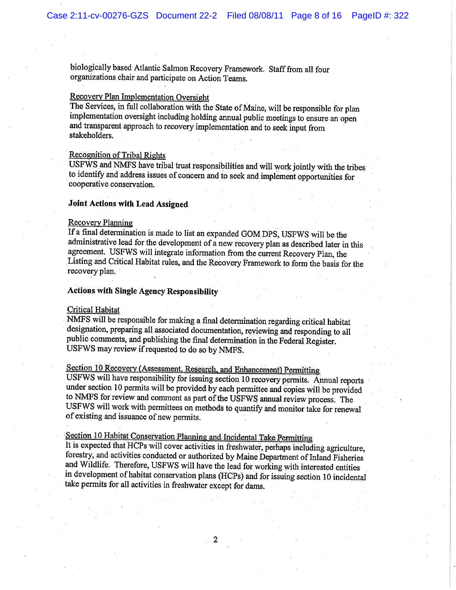biologically based Atlantic Salmon Recovery Framework. Staff from all four organizations chair and'participate on Action Teams.

# Recovery Plan Implementation Oversight

The Services, in full collaboration with the State of Maine, will be responsible for plan implementarion oversight including holding annual public meetings to ensure an open and transparent approach to recovery implementation and to seek input from stakeholders.

# Recognition of Tribal Rights

USFWS.and NMFS have tribal trust responsibilities and will work jointly with the tribes to identify and address issues of concern and to seek and implement opportunities for cooperative conservation.

#### Joint Actions with Lead Assigned

#### Recovery Planning

Tf a final determination is made to list an expanded GOM DPS, USFWS will be the administrative lead for the development of a new recovery plan as described later in this agreement. U5FWS will integrate information from the current Recovery Plan, the Listing and Critical Habitat rules, and the Recovery Framework to form the basis for the recovery plan.

#### Actions with Single Agency Responsibility

#### Critical Habitat

NMFS will be responsible for making a final determination regarding critical habitat designation, preparing all associated documentation, reviewing and responding to alI public comments, and publishing the final determination in the Federal Register. USFWS may review if requested to do so by NMFS.

Section 10 Recovery (Assessment, Research, and Enhancement) Permitting

USFWS will have responsibility for issuing section 10 recovery permits. Annual reports under section 10 permits will be provided by each permittee and copies will be provided to NMFS for review and comment as part of the USFWS annual. review process. The USFWS will work with permittees on methods to quantify and monitor take for renewal of existing and issuance of new permits.

Section 10 Habitat Conservation Planning and Incidental Take Permitting<br>It is expected that HCPs will cover activities in freshwater, perhaps including agriculture, forestry, and activities conducted or authorized by Maine Department of Inland Fisheries and Wildlife. Therefore, USFWS will have the lead for working with interested entities in development of habitat conservation plans (HCPs) and for issuing section 10 incidental take permits for all activities in freshwater except for dams.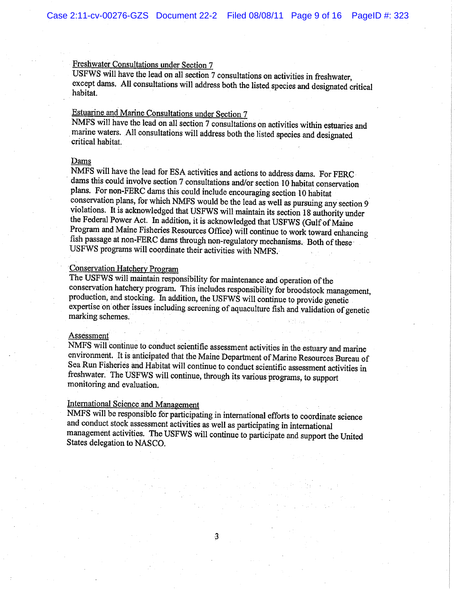# Freshwater Consultations under Section 7

USFWS will have the lead on all section 7 consultations on activities in freshwater, except dams. All consultations will address both the listed species and designated critical habitat.

# .Estuarine and Marine Consultations under Section <sup>7</sup>

NMFS will have the lead on all section 7 consultations on activities within estuaries and marine waters. All consultations will address both the listed species and designated critical habitat.

#### Dams

NMFS will have the Lead for ESA activities and actions to address dams. For FERC dams this could involve section 7 consultations and/or section 10 habitat conservation plans. For non-FERC dams this could include encouraging section 10 habitat conservation plans, for which NMFS would be the Lead as well as pursuing any section <sup>9</sup> violations. It is acknowledged that USFWS will maintain its section 18 authority under the Federal Power Act. In addition, it is acknowledged that USFWS (Gulf of Maine Program and Maine Fisheries Resources Office) will continue to work toward enhancing fish passage at non-FERC dams through non-regulatory mechanisms. Both of these USFWS programs will coordinate their activities with NMFS.

# Conservation Hatchery Program

The USFWS will maintain responsibility for maintenance and operation of the conservation hatchery program. This includes responsibility for broodstock management, production, and stocking. In addition, the USFWS will continue to provide genetic expertise on other issues including screening of aquaculture fish and validation of genetic marking schemes.'

#### Assessment:

NMFS will continue to conduct scientific assessment activities in the estuary and marine environment. It is anticipated that the Maine Department of Marine Resources Bureau of Sea Run Fisheries and Habitat will continue to conduct scientific assessment activities in freshwater. The USFWS will continue, through its various programs, to support. monitoring and evaluation.

# International Science and Management

NMFS will be responsible for participating in international efforts to coordinate science and conduct stock assessment activities as well as participating in international management activities..The USFWS will continue to participate and support the United States delegation to NASCO.

3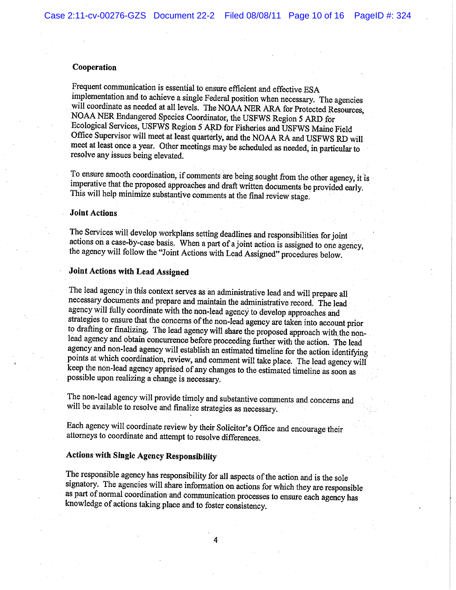#### Cooperation

Frequent communication is essential to ensure efficient and effective ESA implementation and to achieve a single Federal position when necessary. The agencies will coordinate as needed at all levels. The NOAA NER ARA for Protected Resources, NOAA NER Endangered Species Coordinator, the USFWS Region 5 ARD for Ecological Services, USFWS Region S ARD for Fisheries and USFWS Maine Field Office Supervisor will meet at least quarterly, and the NO.AA RA and USFWS RD will meet at least once a year. Other meetings maybe scheduled as needed, in particular to resolve any issues being elevated.

To ensure smooth coordination, if comments are being sought from the other agency, it is imperative that the proposed approaches and draft written documents be provided early.<br>This will help minimize substantive comments a

#### Joint Actions

The Services will develop workplans setting deadlines and responsibilities for joint actions on a case-by-case basis. When a part of a joint action is assigned to one agency, the agency will follow the "Joint Actions with Lead Assigned" procedures below.

# Joint Actions with Lead Assigned

The lead agency in this context serves as an administrative lead and will prepare all necessary documents and prepare and maintain the administrative record. The lead agency will fully coordinate with the non-lead agency to develop approaches and strategies to ensure that the concerns of the non-lead agency are taken into account prior to drafting or finalizing. The lead agency will share the proposed approach with the nonlead agency and obtain concurrence before proceeding further with the action. The lead agency and non-lead agency will establish an estimated timeline for the action identifying points at which coordination, review, and comment will take place. The lead agency will keep the non-lead agency apprised of any changes to the estimated timeline as soon as possible upon realizing a change is necessary.

The non-lead agency will provide timely and substantive comments and concerns and will be available to resolve and finalize strategies as necessary.

Each agency will coordinate review by their Solicitor's Office and encourage their. attorneys to coordinate and attempt to resolve differences.

# Actions with Single Agency Responsibility

The responsible agency has responsibility for all aspects of the action and is the sole signatory. The agencies will share information on actions for which they are responsible as part of normal coordination and communication processes to ensure each agency has knowledge of actions taking place and to foster consistency.

4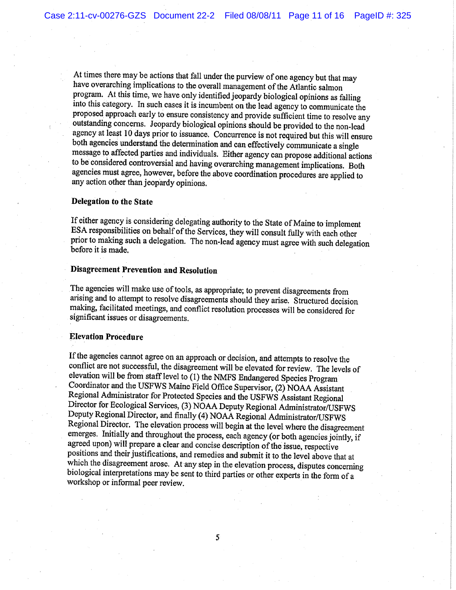At times there maybe actions that fall under the purview of one agency but that may have overarching implications to the overall management of the Atlantic salmon program. At this time, we have only identified jeopardy biological opinions as falling into this category. In such cases it is incumbent on the lead agency to communicate the proposed approach early to ensure consistency and provide sufficient time to resolve any outstanding concerns. Jeopardy biological opinions should be provided to the non-lead agency at least l0 days prior to issuance. Concurrence is not required but this will ensure both agencies understand the determination and can effectively communicate a single message to affected parties and individuals. Either agency can propose additional actions to be considered controversial and having overarching management implications. Both agencies must agree, however, before the above coordination procedures are applied to any action other than jeopardy opinions.

# Delegation to the State

Tf either agency is considering delegating authority to the State of Maine to implement ESA responsibilities on behalf of the Services, they will consult fully with each other prior to making such a delegation. The non-lead agency must agree with such delegation 'before it is made.

# Disagreement Prevention and Resolution

The agencies will make use of tools, as appropriate; to prevent disagreements from arising and to attempt to resolve disagreements should they arise. Structured decision making, facilitated meetings, and conflict resolution processes will be considered for significant issues or disagreements.

#### Elevation Procedure

If the agencies cannot agree on an approach or decision, and attempts to resolve the conflict are not successful, the disagreement will be elevated for review. The levels of elevation will be from staff level to (1) the NMFS Endangered Species Program Coordinator and the USFWS Maine Field Office Supervisor, (2) NOAA Assistant Regional Administrator for Protected Species and the USFWS Assistant Regional Director for Ecological Services, (3) NOAA Deputy Regional Administrator/USFWS Deputy Regional Director, and finally (4) NOA.A Regional Administrator/USFWS Regional Director. The elevation process will begin at the level where the disagreement emerges. Initially and throughout the process, each agency (or both agencies jointly, if agreed upon) will prepare a clear and concise description of the issue, respective positions and their justifications, and remedies and submit it to the level above that at which the disagreement arose. At any step in the elevation process, disputes concerning biological interpretations maybe sent to third parties or other experts in the form of <sup>a</sup> 'workshop or informal peer review.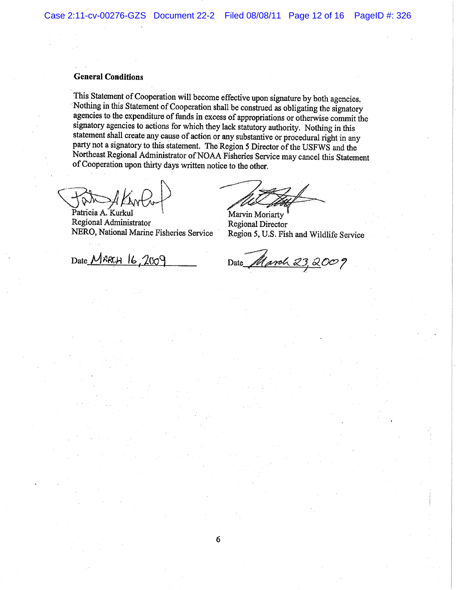### General Conditions

This Statement of Cooperation will become effective upon signature by both agencies. 'Nothing in this Statement of Cooperation shall be construed as obligating the signatory agencies to the expenditure of funds in excess of appropriations or otherwise commit the signatory agencies to actions for which they lack statutory authority. Nothing in this statement shall create any cause of action or any substantive or procedural right in any party not a signatory to this statement. The Region 5 Director of the USFWS and the Northeast Regional Administrator of NOAH Fisheries Service may cancel this Statement of Cooperation upon thirty days written notice to the other.

Patricia A. Kurkul Regional Administrator NERO, National Marine Fisheries Service

Date  $M$ RRCH  $/6.2009$ 

Marvin Moriarty Regional Director Region 5, U.S. Fish and Wildlife Service

Date *March 23, 2009*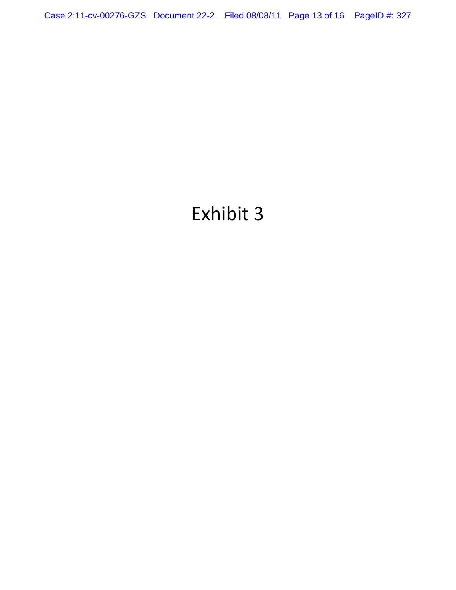Case 2:11-cv-00276-GZS Document 22-2 Filed 08/08/11 Page 13 of 16 PageID #: 327

# Exhibit 3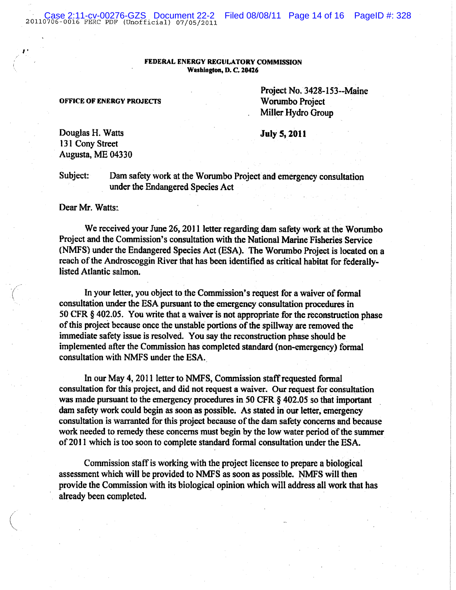20110706-0016. FERC PDF (Unofficial) 07/05/2011

#### FEDERAL ENERGY REGULATORY COMMISSION Washington, D. C, Z042b

OFFICE OF ENERGY PROJECTS Worumbo Project

Project No. 3428-153--Maine Miller Hydro Group

July S, 2011

Douglas H. Watts 131 Cony Street Augusta, ME Q4330

 $\mathcal{F}^*$ 

1

Subject: Dam safety work at the Worumbo Project and emergency consultation under the Endangered Species Act

Dear Mr. Watts:

We received your June 26, 2011 letter regarding dam safety work at the Worumbo Project and the Commission's consultation with the National Marine Fisheries Service (NMFS) under the Endangered Species Act (ESA). The Worumba Project is located on a reach of the Androscoggin River that has been identified as critical habitat for federallylisted Atlantic salmon.

In your letter, you object to the Commission's request for a waiver of formal consultation under the ESA pursuant to the emergency consultation procedures in 50 CFR  $\S$  402.05. You write that a waiver is not appropriate for the reconstruction phase of this project because once the unstable portions of the spillway are removed the immediate safety issue is resolved. You say the reconstruction phase should be implemented after the Commission has completed standard (non-emergency) formal consultation with NMFS under the ESA.

In our May 4, 2011 letter to NMFS, Commission staff requested formal consultation for this project, and did not request a waiver. Qur request for consultation was made pursuant to the emergency procedures in 50 CFR § 402.05 so that important dam safety work could begin as soon as possible. As stated in our letter, emergency consultation is warranted for this project because of the dam safety concerns and because work needed to remedy these concerns must begin by the low water period of the summer of 2011 which is too soon to complete standard formal consultation under the ESA.

Commission staff is working with the project licensee to prepare a biological assessment which will be provided to NMFS as soon as possible. NMFS will then provide the Commission with its biological opinion which will address all work that has already been completed.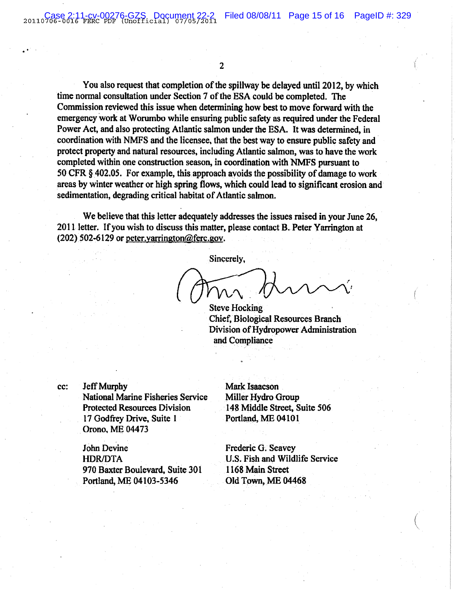(,.

`.

 $\overline{2}$ 

You also request that completion of the spillway be delayed until 2012, by which time normal consultation under Section 7 of the ESA could be completed. The Commission reviewed this issue when determining how best to move forward with the emergency work at Worumbo while ensuring public safety as required under the Federal Power Act, and also protecting Atlantic salmon under the ESA. It was determined, in coordination with NMFS and the licensee, that the best way to ensure public safety and protect property and natural resources, including Atlantic salmon, was to have the work completed within one construction season, in coordination with NMFS pursuant to 50 CFR § 402.05. For example, this approach avoids the possibility of damage to work areas by winter weather or high spring flows, which could lead to significant erosion and sedimentation, degrading critical habitat of Atlantic salmon.

We believe that this letter adequately addresses the issues raised in your June 26, 2011 letter. If you wish to discuss this matter, please contact B. Peter Yarrington at (202) 502-6129 or peter varrington@ferc.gov.

Sincerely,

Steve Hocking: Chief, Biological Resources Branch Division of Hydropower Administration and Compliance

cc: Jeff Murphy Mark Isaacson National Marine Fisheries Service Miller Hydro Group Protected Resources Division 148 Middle Street, Suite 506 17 Godfrey Drive, Suite 1 Portland, ME 04101 Orono, ME 04473

John Devine Frederic G: Seavey HDR/DTA U.S. Fish and Wildlife Service 970 Baxter Boulevard, Suite 301 1168 Main Street Portland, ME 04103-5346 Old Town, ME 04468